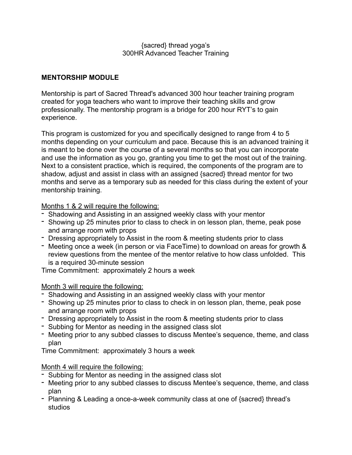## {sacred} thread yoga's 300HR Advanced Teacher Training

## **MENTORSHIP MODULE**

Mentorship is part of Sacred Thread's advanced 300 hour teacher training program created for yoga teachers who want to improve their teaching skills and grow professionally. The mentorship program is a bridge for 200 hour RYT's to gain experience.

This program is customized for you and specifically designed to range from 4 to 5 months depending on your curriculum and pace. Because this is an advanced training it is meant to be done over the course of a several months so that you can incorporate and use the information as you go, granting you time to get the most out of the training. Next to a consistent practice, which is required, the components of the program are to shadow, adjust and assist in class with an assigned {sacred} thread mentor for two months and serve as a temporary sub as needed for this class during the extent of your mentorship training.

Months 1 & 2 will require the following:

- Shadowing and Assisting in an assigned weekly class with your mentor
- Showing up 25 minutes prior to class to check in on lesson plan, theme, peak pose and arrange room with props
- Dressing appropriately to Assist in the room & meeting students prior to class
- Meeting once a week (in person or via FaceTime) to download on areas for growth & review questions from the mentee of the mentor relative to how class unfolded. This is a required 30-minute session

Time Commitment: approximately 2 hours a week

## Month 3 will require the following:

- Shadowing and Assisting in an assigned weekly class with your mentor
- Showing up 25 minutes prior to class to check in on lesson plan, theme, peak pose and arrange room with props
- Dressing appropriately to Assist in the room & meeting students prior to class
- Subbing for Mentor as needing in the assigned class slot
- Meeting prior to any subbed classes to discuss Mentee's sequence, theme, and class plan

Time Commitment: approximately 3 hours a week

## Month 4 will require the following:

- Subbing for Mentor as needing in the assigned class slot
- Meeting prior to any subbed classes to discuss Mentee's sequence, theme, and class plan
- Planning & Leading a once-a-week community class at one of {sacred} thread's studios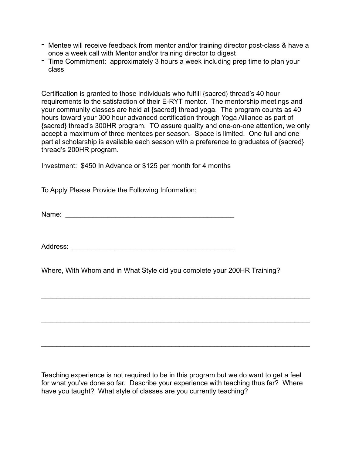- Mentee will receive feedback from mentor and/or training director post-class & have a once a week call with Mentor and/or training director to digest
- Time Commitment: approximately 3 hours a week including prep time to plan your class

Certification is granted to those individuals who fulfill {sacred} thread's 40 hour requirements to the satisfaction of their E-RYT mentor. The mentorship meetings and your community classes are held at {sacred} thread yoga. The program counts as 40 hours toward your 300 hour advanced certification through Yoga Alliance as part of {sacred} thread's 300HR program. TO assure quality and one-on-one attention, we only accept a maximum of three mentees per season. Space is limited. One full and one partial scholarship is available each season with a preference to graduates of {sacred} thread's 200HR program.

Investment: \$450 In Advance or \$125 per month for 4 months

To Apply Please Provide the Following Information:

Name: \_\_\_\_\_\_\_\_\_\_\_\_\_\_\_\_\_\_\_\_\_\_\_\_\_\_\_\_\_\_\_\_\_\_\_\_\_\_\_\_\_\_\_\_

Address: \_\_\_\_\_\_\_\_\_\_\_\_\_\_\_\_\_\_\_\_\_\_\_\_\_\_\_\_\_\_\_\_\_\_\_\_\_\_\_\_\_\_

Where, With Whom and in What Style did you complete your 200HR Training?

 $\mathcal{L}_\text{max} = \mathcal{L}_\text{max} = \mathcal{L}_\text{max} = \mathcal{L}_\text{max} = \mathcal{L}_\text{max} = \mathcal{L}_\text{max} = \mathcal{L}_\text{max} = \mathcal{L}_\text{max} = \mathcal{L}_\text{max} = \mathcal{L}_\text{max} = \mathcal{L}_\text{max} = \mathcal{L}_\text{max} = \mathcal{L}_\text{max} = \mathcal{L}_\text{max} = \mathcal{L}_\text{max} = \mathcal{L}_\text{max} = \mathcal{L}_\text{max} = \mathcal{L}_\text{max} = \mathcal{$ 

 $\mathcal{L}_\text{max} = \mathcal{L}_\text{max} = \mathcal{L}_\text{max} = \mathcal{L}_\text{max} = \mathcal{L}_\text{max} = \mathcal{L}_\text{max} = \mathcal{L}_\text{max} = \mathcal{L}_\text{max} = \mathcal{L}_\text{max} = \mathcal{L}_\text{max} = \mathcal{L}_\text{max} = \mathcal{L}_\text{max} = \mathcal{L}_\text{max} = \mathcal{L}_\text{max} = \mathcal{L}_\text{max} = \mathcal{L}_\text{max} = \mathcal{L}_\text{max} = \mathcal{L}_\text{max} = \mathcal{$ 

 $\mathcal{L}_\text{max} = \mathcal{L}_\text{max} = \mathcal{L}_\text{max} = \mathcal{L}_\text{max} = \mathcal{L}_\text{max} = \mathcal{L}_\text{max} = \mathcal{L}_\text{max} = \mathcal{L}_\text{max} = \mathcal{L}_\text{max} = \mathcal{L}_\text{max} = \mathcal{L}_\text{max} = \mathcal{L}_\text{max} = \mathcal{L}_\text{max} = \mathcal{L}_\text{max} = \mathcal{L}_\text{max} = \mathcal{L}_\text{max} = \mathcal{L}_\text{max} = \mathcal{L}_\text{max} = \mathcal{$ 

Teaching experience is not required to be in this program but we do want to get a feel for what you've done so far. Describe your experience with teaching thus far? Where have you taught? What style of classes are you currently teaching?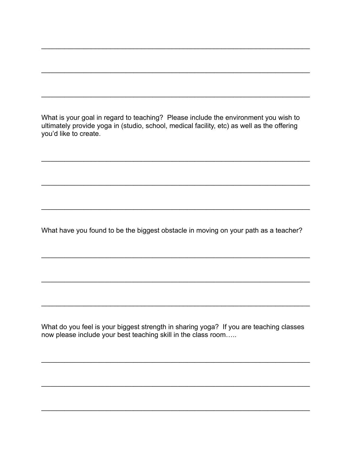What is your goal in regard to teaching? Please include the environment you wish to ultimately provide yoga in (studio, school, medical facility, etc) as well as the offering you'd like to create.

What have you found to be the biggest obstacle in moving on your path as a teacher?

What do you feel is your biggest strength in sharing yoga? If you are teaching classes now please include your best teaching skill in the class room.....